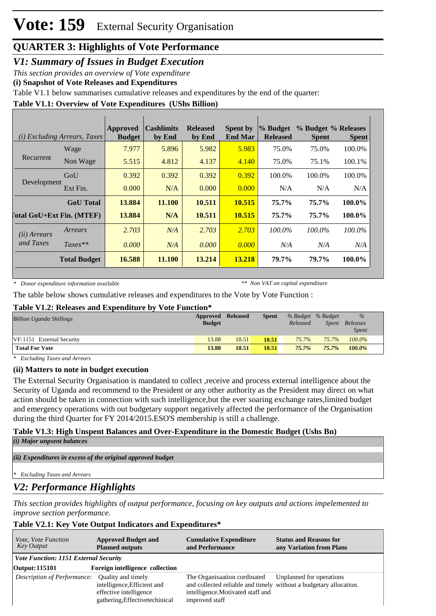## **QUARTER 3: Highlights of Vote Performance**

*V1: Summary of Issues in Budget Execution*

*This section provides an overview of Vote expenditure* 

**(i) Snapshot of Vote Releases and Expenditures**

Table V1.1 below summarises cumulative releases and expenditures by the end of the quarter:

### **Table V1.1: Overview of Vote Expenditures (UShs Billion)**

|                           | ( <i>i</i> ) Excluding Arrears, Taxes | Approved<br><b>Budget</b> | <b>Cashlimits</b><br>by End | <b>Released</b><br>by End | <b>Spent by</b><br><b>End Mar</b> | $\%$ Budget<br><b>Released</b> | % Budget % Releases<br><b>Spent</b> | <b>Spent</b> |
|---------------------------|---------------------------------------|---------------------------|-----------------------------|---------------------------|-----------------------------------|--------------------------------|-------------------------------------|--------------|
|                           | Wage                                  | 7.977                     | 5.896                       | 5.982                     | 5.983                             | 75.0%                          | 75.0%                               | 100.0%       |
| Recurrent                 | Non Wage                              | 5.515                     | 4.812                       | 4.137                     | 4.140                             | 75.0%                          | 75.1%                               | 100.1%       |
| Development               | GoU                                   | 0.392                     | 0.392                       | 0.392                     | 0.392                             | 100.0%                         | 100.0%                              | 100.0%       |
|                           | Ext Fin.                              | 0.000                     | N/A                         | 0.000                     | 0.000                             | N/A                            | N/A                                 | N/A          |
|                           | <b>GoU</b> Total                      | 13.884                    | 11.100                      | 10.511                    | 10.515                            | 75.7%                          | 75.7%                               | 100.0%       |
| [otal GoU+Ext Fin. (MTEF) |                                       | 13.884                    | N/A                         | 10.511                    | 10.515                            | 75.7%                          | 75.7%                               | 100.0%       |
| (ii) Arrears              | Arrears                               | 2.703                     | N/A                         | 2.703                     | 2.703                             | $100.0\%$                      | $100.0\%$                           | $100.0\%$    |
| and Taxes                 | $Taxes**$                             | 0.000                     | N/A                         | 0.000                     | 0.000                             | N/A                            | N/A                                 | N/A          |
|                           | <b>Total Budget</b>                   | 16.588                    | 11.100                      | 13.214                    | 13.218                            | 79.7%                          | 79.7%                               | 100.0%       |

*\* Donor expenditure information available*

*\*\* Non VAT on capital expenditure*

The table below shows cumulative releases and expenditures to the Vote by Vote Function :

#### **Table V1.2: Releases and Expenditure by Vote Function\***

| Billion Uganda Shillings  | Approved<br><b>Budget</b> | <b>Released</b> | <b>Spent</b> | Released | % Budget % Budget<br>Spent | $\%$<br>Releases<br><i>Spent</i> |
|---------------------------|---------------------------|-----------------|--------------|----------|----------------------------|----------------------------------|
| VF:1151 External Security | 13.88                     | 10.51           | 10.51        | $75.7\%$ | $75.7\%$                   | $100.0\%$                        |
| <b>Total For Vote</b>     | 13.88                     | 10.51           | 10.51        | $75.7\%$ | 75.7%                      | 100.0%                           |

*\* Excluding Taxes and Arrears*

### **(ii) Matters to note in budget execution**

The External Security Organisation is mandated to collect ,receive and process external intelligence about the Security of Uganda and recommend to the President or any other authority as the President may direct on what action should be taken in connection with such intelligence,but the ever soaring exchange rates,limited budget and emergency operations with out budgetary support negatively affected the performance of the Organisation during the third Quarter for FY 2014/2015.ESO'S membership is still a challenge.

# **Table V1.3: High Unspent Balances and Over-Expenditure in the Domestic Budget (Ushs Bn)**

*(i) Major unpsent balances*

*(ii) Expenditures in excess of the original approved budget*

*\* Excluding Taxes and Arrears*

### *V2: Performance Highlights*

*This section provides highlights of output performance, focusing on key outputs and actions impelemented to improve section performance.*

### **Table V2.1: Key Vote Output Indicators and Expenditures\***

| <i>Vote, Vote Function</i><br>Key Output       | <b>Approved Budget and</b><br><b>Planned outputs</b>                                    | <b>Cumulative Expenditure</b><br>and Performance                                                                                                         | <b>Status and Reasons for</b><br>any Variation from Plans |
|------------------------------------------------|-----------------------------------------------------------------------------------------|----------------------------------------------------------------------------------------------------------------------------------------------------------|-----------------------------------------------------------|
| <i>Vote Function: 1151 External Security</i>   |                                                                                         |                                                                                                                                                          |                                                           |
| <b>Output: 115101</b>                          | Foreign intelligence collection                                                         |                                                                                                                                                          |                                                           |
| Description of Performance: Quality and timely | intelligence, Efficient and<br>effective intelligence<br>gathering, Effectivetechinical | The Organisaation cordinated<br>and collected reliable and timely without a budgetary allocation.<br>intelligence. Motivated staff and<br>improved staff | Unplanned for operations                                  |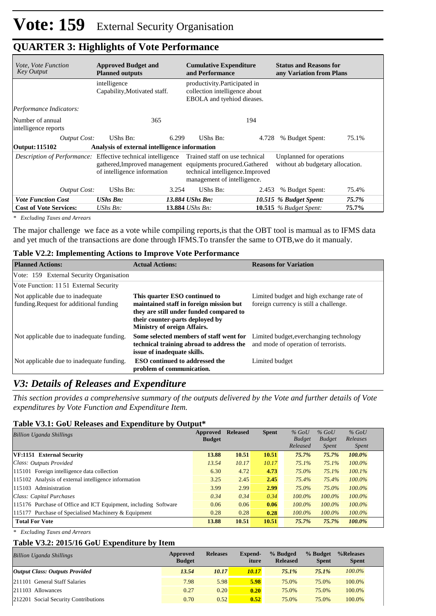| <i>Vote, Vote Function</i><br><b>Key Output</b> | <b>Approved Budget and</b><br><b>Planned outputs</b>                                                                         | <b>Cumulative Expenditure</b><br>and Performance                                                                                   | <b>Status and Reasons for</b><br>any Variation from Plans    |  |  |  |
|-------------------------------------------------|------------------------------------------------------------------------------------------------------------------------------|------------------------------------------------------------------------------------------------------------------------------------|--------------------------------------------------------------|--|--|--|
|                                                 | intelligence<br>Capability, Motivated staff.                                                                                 | productivity. Participated in<br>collection intelligence about<br>EBOLA and tyehiod dieases.                                       |                                                              |  |  |  |
| Performance Indicators:                         |                                                                                                                              |                                                                                                                                    |                                                              |  |  |  |
| Number of annual<br>intelligence reports        | 365                                                                                                                          | 194                                                                                                                                |                                                              |  |  |  |
| <b>Output Cost:</b>                             | UShs Bn:<br>6.299                                                                                                            | UShs Bn:<br>4.728                                                                                                                  | % Budget Spent:<br>75.1%                                     |  |  |  |
| Output: 115102                                  | Analysis of external intelligence information                                                                                |                                                                                                                                    |                                                              |  |  |  |
|                                                 | Description of Performance: Effective technical intelligence<br>gathered, Improved management<br>of intelligence information | Trained staff on use technical<br>equipments procured. Gathered<br>technical intelligence. Improved<br>management of intelligence. | Unplanned for operations<br>without ab budgetary allocation. |  |  |  |
| <b>Output Cost:</b>                             | UShs Bn:<br>3.254                                                                                                            | UShs Bn:<br>2.453                                                                                                                  | 75.4%<br>% Budget Spent:                                     |  |  |  |
| <b>Vote Function Cost</b>                       | $UShs Bn$ :                                                                                                                  | 13.884 UShs Bn:                                                                                                                    | 10.515 % Budget Spent:<br>75.7%                              |  |  |  |
| <b>Cost of Vote Services:</b>                   | $UShs Bn$ :                                                                                                                  | 13.884 <i>UShs Bn</i> :                                                                                                            | 75.7%<br>10.515 $%$ Budget Spent:                            |  |  |  |

### **QUARTER 3: Highlights of Vote Performance**

*\* Excluding Taxes and Arrears*

The major challenge we face as a vote while compiling reports,is that the OBT tool is mamual as to IFMS data and yet much of the transactions are done through IFMS.To transfer the same to OTB,we do it manualy.

#### **Table V2.2: Implementing Actions to Improve Vote Performance**

| <b>Planned Actions:</b>                                                     | <b>Actual Actions:</b>                                                                                                                                                                       | <b>Reasons for Variation</b>                                                       |
|-----------------------------------------------------------------------------|----------------------------------------------------------------------------------------------------------------------------------------------------------------------------------------------|------------------------------------------------------------------------------------|
| Vote: 159 External Security Organisation                                    |                                                                                                                                                                                              |                                                                                    |
| Vote Function: 1151 External Security                                       |                                                                                                                                                                                              |                                                                                    |
| Not applicable due to inadequate<br>funding. Request for additional funding | This quarter ESO continued to<br>maintained staff in foreign mission but<br>they are still under funded compared to<br>their counter-parts deployed by<br><b>Ministry of oreign Affairs.</b> | Limited budget and high exchange rate of<br>foreign currency is still a challenge. |
| Not applicable due to inadequate funding.                                   | Some selected members of staff went for<br>technical training abroad to address the<br>issue of inadequate skills.                                                                           | Limited budget, everchanging technology<br>and mode of operation of terrorists.    |
| Not applicable due to inadequate funding.                                   | <b>ESO</b> continued to addressed the<br>problem of communication.                                                                                                                           | Limited budget                                                                     |

### *V3: Details of Releases and Expenditure*

*This section provides a comprehensive summary of the outputs delivered by the Vote and further details of Vote expenditures by Vote Function and Expenditure Item.*

### **Table V3.1: GoU Releases and Expenditure by Output\***

| <b>Billion Uganda Shillings</b>                                 | Approved      | <b>Released</b> | <b>Spent</b> | $%$ GoU       | $%$ GoU       | $%$ GoU      |  |
|-----------------------------------------------------------------|---------------|-----------------|--------------|---------------|---------------|--------------|--|
|                                                                 | <b>Budget</b> |                 |              | <b>Budget</b> | <b>Budget</b> | Releases     |  |
|                                                                 |               |                 |              | Released      | <i>Spent</i>  | <i>Spent</i> |  |
| VF:1151 External Security                                       | 13.88         | 10.51           | 10.51        | 75.7%         | 75.7%         | 100.0%       |  |
| Class: Outputs Provided                                         | 13.54         | 10.17           | 10.17        | 75.1%         | 75.1%         | $100.0\%$    |  |
| 115101 Foreign intelligence data collection                     | 6.30          | 4.72            | 4.73         | 75.0%         | 75.1%         | $100.1\%$    |  |
| 115102 Analysis of external intelligence information            | 3.25          | 2.45            | 2.45         | 75.4%         | 75.4%         | $100.0\%$    |  |
| 115103 Administration                                           | 3.99          | 2.99            | 2.99         | 75.0%         | 75.0%         | $100.0\%$    |  |
| Class: Capital Purchases                                        | 0.34          | 0.34            | 0.34         | $100.0\%$     | $100.0\%$     | $100.0\%$    |  |
| 115176 Purchase of Office and ICT Equipment, including Software | 0.06          | 0.06            | 0.06         | $100.0\%$     | $100.0\%$     | $100.0\%$    |  |
| 115177 Purchase of Specialised Machinery & Equipment            | 0.28          | 0.28            | 0.28         | $100.0\%$     | $100.0\%$     | $100.0\%$    |  |
| <b>Total For Vote</b>                                           | 13.88         | 10.51           | 10.51        | 75.7%         | 75.7%         | 100.0%       |  |

*\* Excluding Taxes and Arrears*

### **Table V3.2: 2015/16 GoU Expenditure by Item**

| <b>Billion Uganda Shillings</b>       | Approved<br><b>Budget</b> | <b>Releases</b> | <b>Expend-</b><br>iture | % Budged<br><b>Released</b> | % Budget<br><b>Spent</b> | %Releases<br><b>Spent</b> |
|---------------------------------------|---------------------------|-----------------|-------------------------|-----------------------------|--------------------------|---------------------------|
| <b>Output Class: Outputs Provided</b> | 13.54                     | 10.17           | 10.17                   | 75.1%                       | $75.1\%$                 | $100.0\%$                 |
| 211101 General Staff Salaries         | 7.98                      | 5.98            | 5.98                    | 75.0%                       | 75.0%                    | 100.0%                    |
| $ 211103$ Allowances                  | 0.27                      | 0.20            | 0.20                    | 75.0%                       | 75.0%                    | 100.0%                    |
| 212201 Social Security Contributions  | 0.70                      | 0.52            | 0.52                    | 75.0%                       | 75.0%                    | 100.0%                    |